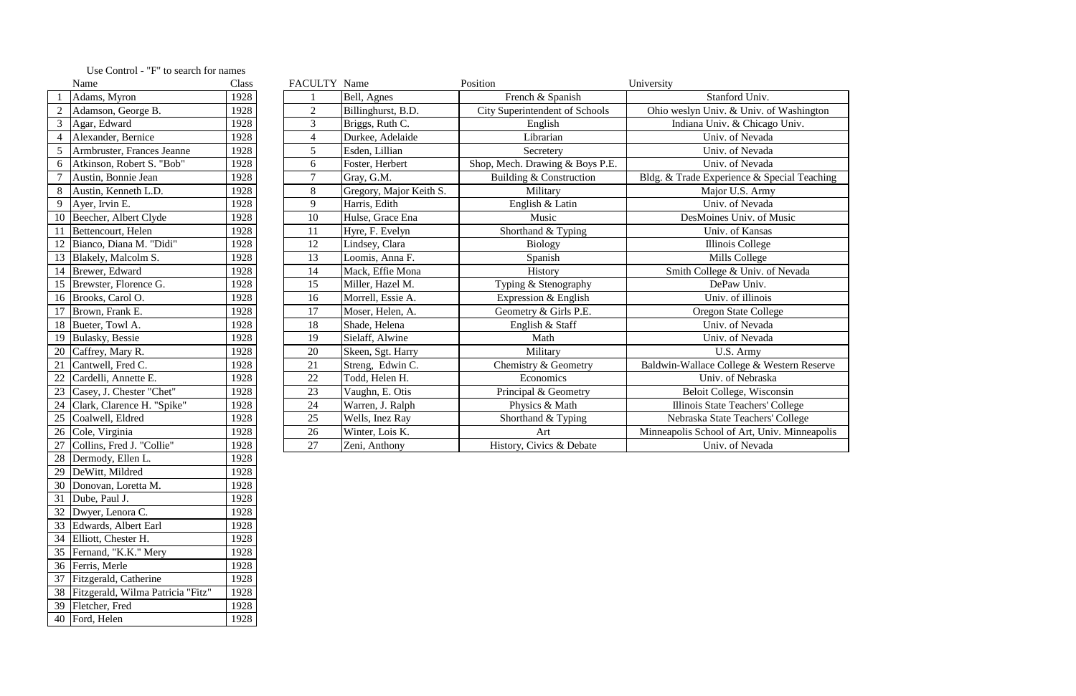|    | Name                       | Class | FACULTY Name   |                         | Position                              | University                                   |
|----|----------------------------|-------|----------------|-------------------------|---------------------------------------|----------------------------------------------|
|    | Adams, Myron               | 1928  |                | Bell, Agnes             | French & Spanish                      | Stanford Univ.                               |
|    | Adamson, George B.         | 1928  | 2              | Billinghurst, B.D.      | <b>City Superintendent of Schools</b> | Ohio weslyn Univ. & Univ. of Washington      |
|    | Agar, Edward               | 1928  | $\overline{3}$ | Briggs, Ruth C.         | English                               | Indiana Univ. & Chicago Univ.                |
|    | Alexander, Bernice         | 1928  | 4              | Durkee, Adelaide        | Librarian                             | Univ. of Nevada                              |
|    | Armbruster, Frances Jeanne | 1928  | 5              | Esden, Lillian          | Secretery                             | Univ. of Nevada                              |
| 6  | Atkinson, Robert S. "Bob"  | 1928  | 6              | Foster, Herbert         | Shop, Mech. Drawing & Boys P.E.       | Univ. of Nevada                              |
|    | Austin, Bonnie Jean        | 1928  |                | Gray, G.M.              | Building & Construction               | Bldg. & Trade Experience & Special Teaching  |
|    | Austin, Kenneth L.D.       | 1928  | 8              | Gregory, Major Keith S. | Military                              | Major U.S. Army                              |
| 9  | Ayer, Irvin E.             | 1928  | 9              | Harris, Edith           | English & Latin                       | Univ. of Nevada                              |
|    | 10 Beecher, Albert Clyde   | 1928  | 10             | Hulse, Grace Ena        | Music                                 | DesMoines Univ. of Music                     |
|    | 11 Bettencourt, Helen      | 1928  | 11             | Hyre, F. Evelyn         | Shorthand & Typing                    | Univ. of Kansas                              |
|    | 12 Bianco, Diana M. "Didi" | 1928  | 12             | Lindsey, Clara          | <b>Biology</b>                        | Illinois College                             |
|    | 13 Blakely, Malcolm S.     | 1928  | 13             | Loomis, Anna F.         | Spanish                               | Mills College                                |
|    | 14 Brewer, Edward          | 1928  | 14             | Mack, Effie Mona        | History                               | Smith College & Univ. of Nevada              |
|    | 15 Brewster, Florence G.   | 1928  | 15             | Miller, Hazel M.        | Typing & Stenography                  | DePaw Univ.                                  |
|    | 16 Brooks, Carol O.        | 1928  | 16             | Morrell, Essie A.       | Expression & English                  | Univ. of illinois                            |
|    | 17 Brown, Frank E.         | 1928  | 17             | Moser, Helen, A.        | Geometry & Girls P.E.                 | <b>Oregon State College</b>                  |
|    | 18 Bueter, Towl A.         | 1928  | 18             | Shade, Helena           | English & Staff                       | Univ. of Nevada                              |
|    | 19 Bulasky, Bessie         | 1928  | 19             | Sielaff, Alwine         | Math                                  | Univ. of Nevada                              |
|    | 20 Caffrey, Mary R.        | 1928  | 20             | Skeen, Sgt. Harry       | Military                              | U.S. Army                                    |
| 21 | Cantwell, Fred C.          | 1928  | 21             | Streng, Edwin C.        | Chemistry & Geometry                  | Baldwin-Wallace College & Western Reserve    |
| 22 | Cardelli, Annette E.       | 1928  | 22             | Todd, Helen H.          | Economics                             | Univ. of Nebraska                            |
| 23 | Casey, J. Chester "Chet"   | 1928  | 23             | Vaughn, E. Otis         | Principal & Geometry                  | Beloit College, Wisconsin                    |
|    | Clark, Clarence H. "Spike" | 1928  | 24             | Warren, J. Ralph        | Physics & Math                        | Illinois State Teachers' College             |
|    | 25 Coalwell, Eldred        | 1928  | 25             | Wells, Inez Ray         | Shorthand & Typing                    | Nebraska State Teachers' College             |
|    | 26 Cole, Virginia          | 1928  | 26             | Winter, Lois K.         | Art                                   | Minneapolis School of Art, Univ. Minneapolis |
|    | Collins, Fred J. "Collie"  | 1928  | 27             | Zeni, Anthony           | History, Civics & Debate              | Univ. of Nevada                              |
|    |                            |       |                |                         |                                       |                                              |

|                | Name                              | Class |
|----------------|-----------------------------------|-------|
| $\mathbf{1}$   | Adams, Myron                      | 1928  |
| $\overline{2}$ | Adamson, George B.                | 1928  |
| 3              | Agar, Edward                      | 1928  |
| $\overline{4}$ | Alexander, Bernice                | 1928  |
| 5              | Armbruster, Frances Jeanne        | 1928  |
| 6              | Atkinson, Robert S. "Bob"         | 1928  |
| 7              | Austin, Bonnie Jean               | 1928  |
| 8              | Austin, Kenneth L.D.              | 1928  |
| 9              | Ayer, Irvin E.                    | 1928  |
| 10             | Beecher, Albert Clyde             | 1928  |
| 11             | Bettencourt, Helen                | 1928  |
| 12             | Bianco, Diana M. "Didi"           | 1928  |
| 13             | Blakely, Malcolm S.               | 1928  |
| 14             | Brewer, Edward                    | 1928  |
| 15             | Brewster, Florence G.             | 1928  |
| 16             | Brooks, Carol O.                  | 1928  |
| 17             | Brown, Frank E.                   | 1928  |
| 18             | Bueter, Towl A.                   | 1928  |
| 19             | Bulasky, Bessie                   | 1928  |
| 20             | Caffrey, Mary R.                  | 1928  |
| 21             | Cantwell, Fred C.                 | 1928  |
| 22             | Cardelli, Annette E.              | 1928  |
| 23             | Casey, J. Chester "Chet"          | 1928  |
| 24             | Clark, Clarence H. "Spike"        | 1928  |
| 25             | Coalwell, Eldred                  | 1928  |
| 26             | Cole, Virginia                    | 1928  |
| 27             | Collins, Fred J. "Collie"         | 1928  |
| 28             | Dermody, Ellen L.                 | 1928  |
| 29             | DeWitt, Mildred                   | 1928  |
| 30             | Donovan, Loretta M.               | 1928  |
| 31             | Dube, Paul J.                     | 1928  |
| 32             | Dwyer, Lenora C.                  | 1928  |
| 33             | Edwards, Albert Earl              | 1928  |
| 34             | Elliott, Chester H.               | 1928  |
| 35             | Fernand, "K.K." Mery              | 1928  |
| 36             | Ferris, Merle                     | 1928  |
| 37             | Fitzgerald, Catherine             | 1928  |
| 38             | Fitzgerald, Wilma Patricia "Fitz" | 1928  |
| 39             | Fletcher, Fred                    | 1928  |
| 40             | Ford, Helen                       | 1928  |

## Use Control - "F" to search for names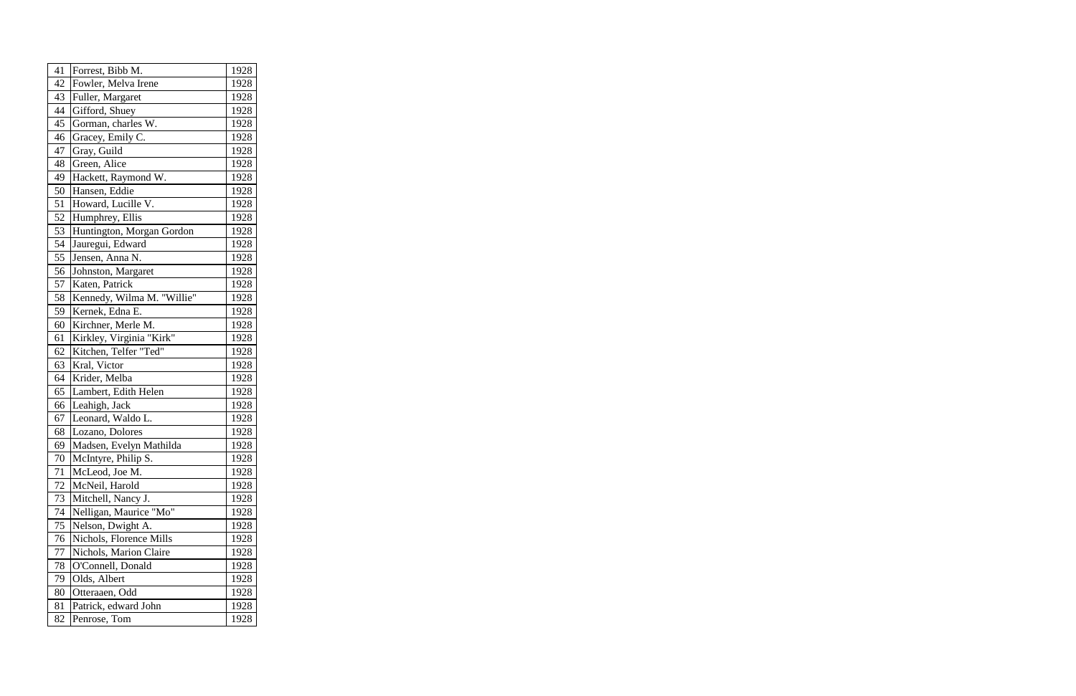| 41 | Forrest, Bibb M.           | 1928 |
|----|----------------------------|------|
| 42 | Fowler, Melva Irene        | 1928 |
| 43 | Fuller, Margaret           | 1928 |
| 44 | Gifford, Shuey             | 1928 |
| 45 | Gorman, charles W.         | 1928 |
| 46 | Gracey, Emily C.           | 1928 |
| 47 | Gray, Guild                | 1928 |
| 48 | Green, Alice               | 1928 |
| 49 | Hackett, Raymond W.        | 1928 |
| 50 | Hansen, Eddie              | 1928 |
| 51 | Howard, Lucille V.         | 1928 |
| 52 | Humphrey, Ellis            | 1928 |
| 53 | Huntington, Morgan Gordon  | 1928 |
| 54 | Jauregui, Edward           | 1928 |
| 55 | Jensen, Anna N.            | 1928 |
| 56 | Johnston, Margaret         | 1928 |
| 57 | Katen, Patrick             | 1928 |
| 58 | Kennedy, Wilma M. "Willie" | 1928 |
| 59 | Kernek, Edna E.            | 1928 |
| 60 | Kirchner, Merle M.         | 1928 |
| 61 | Kirkley, Virginia "Kirk"   | 1928 |
| 62 | Kitchen, Telfer "Ted"      | 1928 |
| 63 | Kral, Victor               | 1928 |
| 64 | Krider, Melba              | 1928 |
| 65 | Lambert, Edith Helen       | 1928 |
| 66 | Leahigh, Jack              | 1928 |
| 67 | Leonard, Waldo L.          | 1928 |
| 68 | Lozano, Dolores            | 1928 |
| 69 | Madsen, Evelyn Mathilda    | 1928 |
| 70 | McIntyre, Philip S.        | 1928 |
| 71 | McLeod, Joe M.             | 1928 |
| 72 | McNeil, Harold             | 1928 |
| 73 | Mitchell, Nancy J.         | 1928 |
| 74 | Nelligan, Maurice "Mo"     | 1928 |
| 75 | Nelson, Dwight A.          | 1928 |
| 76 | Nichols, Florence Mills    | 1928 |
| 77 | Nichols, Marion Claire     | 1928 |
| 78 | O'Connell, Donald          | 1928 |
| 79 | Olds, Albert               | 1928 |
| 80 | Otteraaen, Odd             | 1928 |
| 81 | Patrick, edward John       | 1928 |
| 82 | Penrose, Tom               | 1928 |